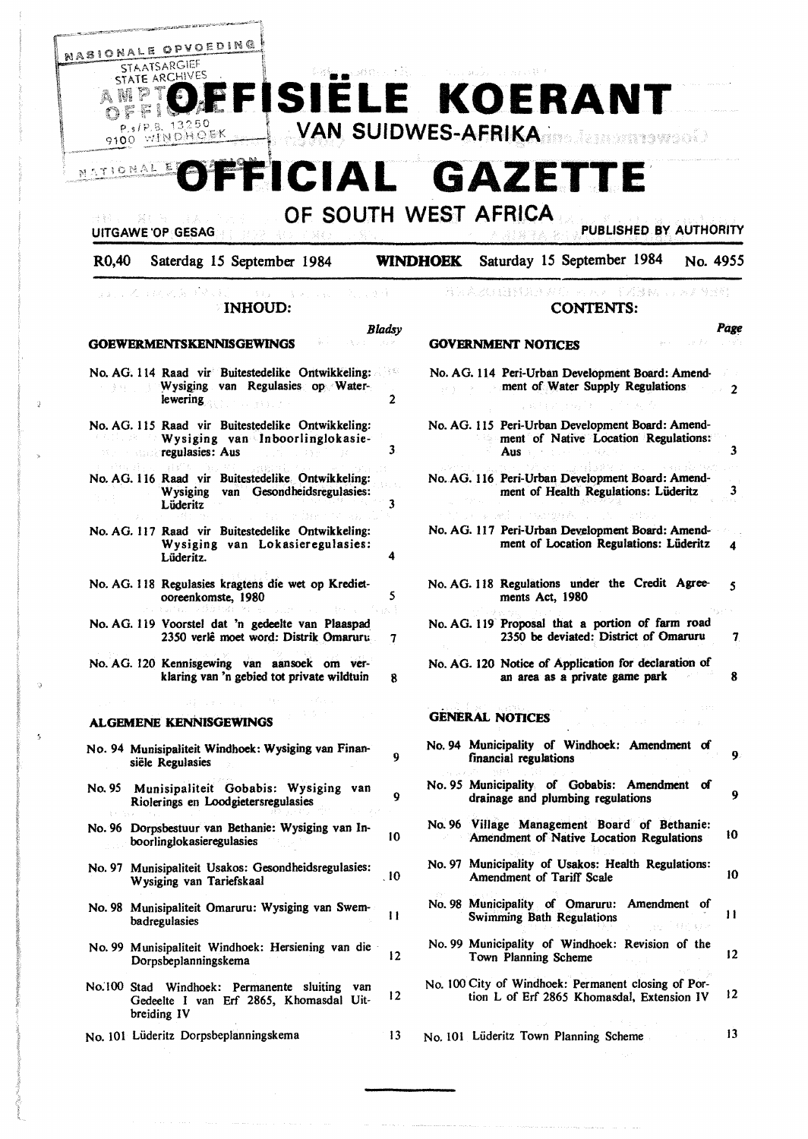

# OF SOUTH WEST AFRICA

|  | PUBLISHED BY AUTHORITY |  |  |
|--|------------------------|--|--|

*Page* 

R0,40 Saterdag 15 September 1984 **WINDHOEK** Saturday 15 September 1984 No. 4955

| ふましい 希望 おいろ あいい<br>こうぎょうしゃ<br><b>INHOUD:</b>                                                                                  | "我就是我们的能够是我们。" 网络人名 医乙酸抗原 医无脊髓炎<br><b>CONTENTS:</b>                                                  |
|-------------------------------------------------------------------------------------------------------------------------------|------------------------------------------------------------------------------------------------------|
| Bladsy                                                                                                                        | Page                                                                                                 |
| <b>GOEWERMENTSKENNISGEWINGS</b>                                                                                               | <b>GOVERNMENT NOTICES</b>                                                                            |
| No. AG. 114 Raad vir Buitestedelike Ontwikkeling:<br>그는 힘도<br>Wysiging van Regulasies op Water-<br>$\overline{2}$<br>lewering | No. AG. 114 Peri-Urban Development Board: Amend-<br>ment of Water Supply Regulations<br>2            |
| No. AG. 115 Raad vir Buitestedelike Ontwikkeling:<br>Wysiging van Inboorlinglokasie-<br>3<br>regulasies: Aus                  | No. AG. 115 Peri-Urban Development Board: Amend-<br>ment of Native Location Regulations:<br>3<br>Aus |
| No. AG. 116 Raad vir Buitestedelike Ontwikkeling:<br>Wysiging van Gesondheidsregulasies:<br>3<br>Lüderitz                     | No. AG. 116 Peri-Urban Development Board: Amend-<br>3<br>ment of Health Regulations: Lüderitz        |
| No. AG. 117 Raad vir Buitestedelike Ontwikkeling:<br>Wysiging van Lokasieregulasies:<br>4<br>Lüderitz.                        | No. AG. 117 Peri-Urban Development Board: Amend-<br>ment of Location Regulations: Lüderitz<br>4      |
| No. AG. 118 Regulasies kragtens die wet op Krediet-<br>5<br>ooreenkomste, 1980                                                | No. AG. 118 Regulations under the Credit Agree-<br>5<br>ments Act, 1980                              |
| as I<br>No. AG. 119 Voorstel dat 'n gedeelte van Plaaspad<br>2350 verlê moet word: Distrik Omaruru<br>7                       | No. AG. 119 Proposal that a portion of farm road<br>2350 be deviated: District of Omaruru            |
| No. AG. 120 Kennisgewing van aansoek om ver-<br>klaring van 'n gebied tot private wildtuin<br>8                               | No. AG. 120 Notice of Application for declaration of<br>an area as a private game park<br>8          |
| <b>ALGEMENE KENNISGEWINGS</b>                                                                                                 | <b>GENERAL NOTICES</b>                                                                               |
| No. 94 Munisipaliteit Windhoek: Wysiging van Finan-<br>9<br>siële Regulasies                                                  | No. 94 Municipality of Windhoek: Amendment of<br>9<br>financial regulations                          |
| Munisipaliteit Gobabis: Wysiging van<br>No. 95<br>Q<br>Riolerings en Loodgietersregulasies                                    | No. 95 Municipality of Gobabis: Amendment of<br>9<br>drainage and plumbing regulations               |
| No. 96 Dorpsbestuur van Bethanie: Wysiging van In-<br>10<br>boorlinglokasieregulasies                                         | No. 96 Village Management Board of Bethanie:<br>10<br>Amendment of Native Location Regulations       |
| No. 97 Munisipaliteit Usakos: Gesondheidsregulasies:<br>.10<br>Wysiging van Tariefskaal                                       | No. 97 Municipality of Usakos: Health Regulations:<br>10<br>Amendment of Tariff Scale                |
| No. 98 Munisipaliteit Omaruru: Wysiging van Swem-<br>11<br>hodreaulosies                                                      | No. 98 Municipality of Omaruru: Amendment of<br>11<br><b>Swimming Bath Regulations</b>               |

- badregulasies 11 No. 99 Munisipaliteit Windhoek: Hersiening van die · Dorpsbeplanningskema 12
- No:100 Stad Windhoek: Permanente sluiting van Gedeelte I van Erf 2865, Khomasdal Uitbreiding IV 12

13

No. 101 Liideritz Dorpsbeplanningskema

UITGAWE 'OP GESAG

tion L of Erf 2865 Khomasdal, Extension IV 12 No. 101 Liideritz Town Planning Scheme 13

No. 99 Municipality of Windhoek: Revision of the

No. 100 City of Windhoek: Permanent closing of Por-

Town Planning Scheme 12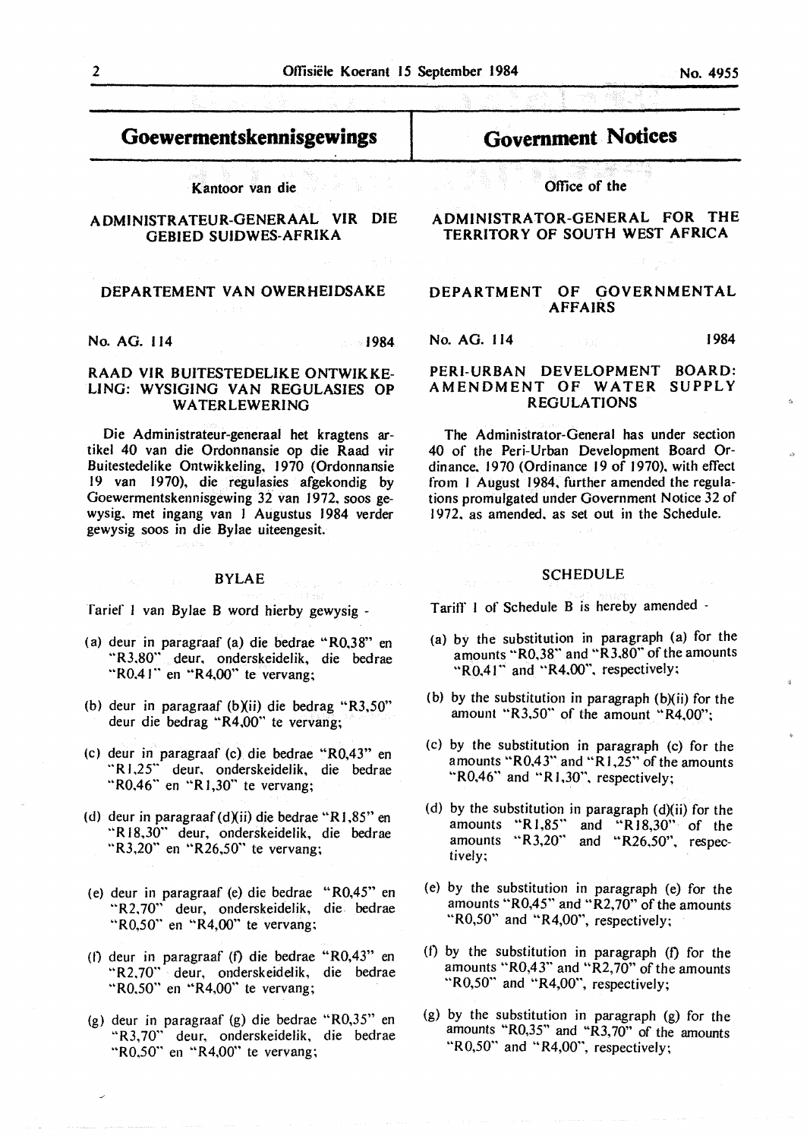# **Goewermentskennisgewings**

Kantoor van die

## ADMINISTRATEUR-GENERAAL VIR DIE GEBIED SUIDWES-AFRIKA

## **DEPARTEMENT VAN OWERHEIDSAKE**

**No. AG.** 114 **1984** 

## **RAAD VIR BUITESTEDELIKE ONTWIKKE-LING: WYSIGING VAN REGULASIES OP WA TERLEWERING**

Die Administrateur-generaal het kragtens artikel 40 van die Ordonnansie op die Raad vir Buitestedelike Ontwikkeling, 1970 (Ordonnansie 19 van 1970), die regulasies afgekondig by Goewermentskennisgewing 32 van 1972, soos gewysig. met ingang van 1 Augustus 1984 verder gewysig soos in die Bylae uiteengesit.

## BYLAE

Tarief I van Bylae B word hierby gewysig -

- (a) deur in paragraaf (a) die bedrae "R0,38" en "R3.80" deur, onderskeidelik, die bedrae "R0.41" en "R4.00" te vervang;
- (b) deur in paragraaf (b)(ii) die bedrag "R3,50" deur die bedrag "R4,00" te vervang;
- (c) deur in paragraaf (c) die bedrae "R0,43" en "R 1,25" deur. onderskeidelik, die bedrae " $R0.46$ " en " $R1,30$ " te vervang;
- (d) deur in paragraaf (d)(ii) die bedrae "RJ,85" en "R 18,30" deur, onderskeidelik, die bedrae "R3,20" en "R26,50" te vervang;
- (e) deur in paragraaf (e) die bedrae "R0,45" en "R2. 70" deur, onderskeidelik, die bedrae "R0,50" en "R4,00" te vervang;
- (I) deur in paragraaf (t) die bedrae "R0,43" en "R2,70" deur, onderskeidelik, die bedrae "R0,50" en "R4,00" te vervang;
- (g) deur in paragraaf (g) die bedrae "R0,35" en "R3,70" deur, onderskeidelik, die bedrae "R0,50" en "R4,00" te vervang;

# **Govemment Notices**

**Office of the** 

**ADMINISTRATOR-GENERAL FOR THE TERRITORY OF SOUTH WEST AFRICA** 

## **DEPARTMENT OF GOVERNMENTAL AFFAIRS**

No. AG. 114 1984

## **PERI-URBAN DEVELOPMENT BOARD: AMENDMENT OF WATER SUPPLY REGULATIONS**

The Administrator-General has under section 40 of the Peri-Urban Development Board Ordinance, 1970 (Ordinance 19 of 1970), with effect from I August 1984, further amended the regulations promulgated under Government Notice 32 of 1972. as amended. as set out in the Schedule.

## **SCHEDULE**

Tariff I of Schedule B is hereby amended -

- (a) by the substitution in paragraph (a) for the amounts "R0,38" and "R3.80" of the amounts "R0.41" and "R4.00", respectively;
- (b) by the substitution in paragraph (b)(ii) for the amount "R3,50" of the amount "R4,00";
- (c) by the substitution in paragraph (c) for the amounts " $R0,43$ " and " $R1,25$ " of the amounts "R0,46" and **"R** 1.30", respectively;
- (d) by the substitution in paragraph (d)(ii) for the amounts "R1,85" and "R18,30" of the amounts  $"R3,20"$  and "R26,50", respectively;
- (e) by the substitution in paragraph (e) for the amounts " $R0,45$ " and " $R2,70$ " of the amounts " $R0,50$ " and " $R4,00$ ", respectively;
- (f) by the substitution in paragraph  $(f)$  for the amounts " $R0,43$ " and " $R2,70$ " of the amounts " $R0,50$ " and " $R4,00$ ", respectively;
- (g) by the substitution in paragraph (g) for the amounts "R0,35" and **"R3,** 70" of the amounts " $R0,50$ " and " $R4,00$ ", respectively;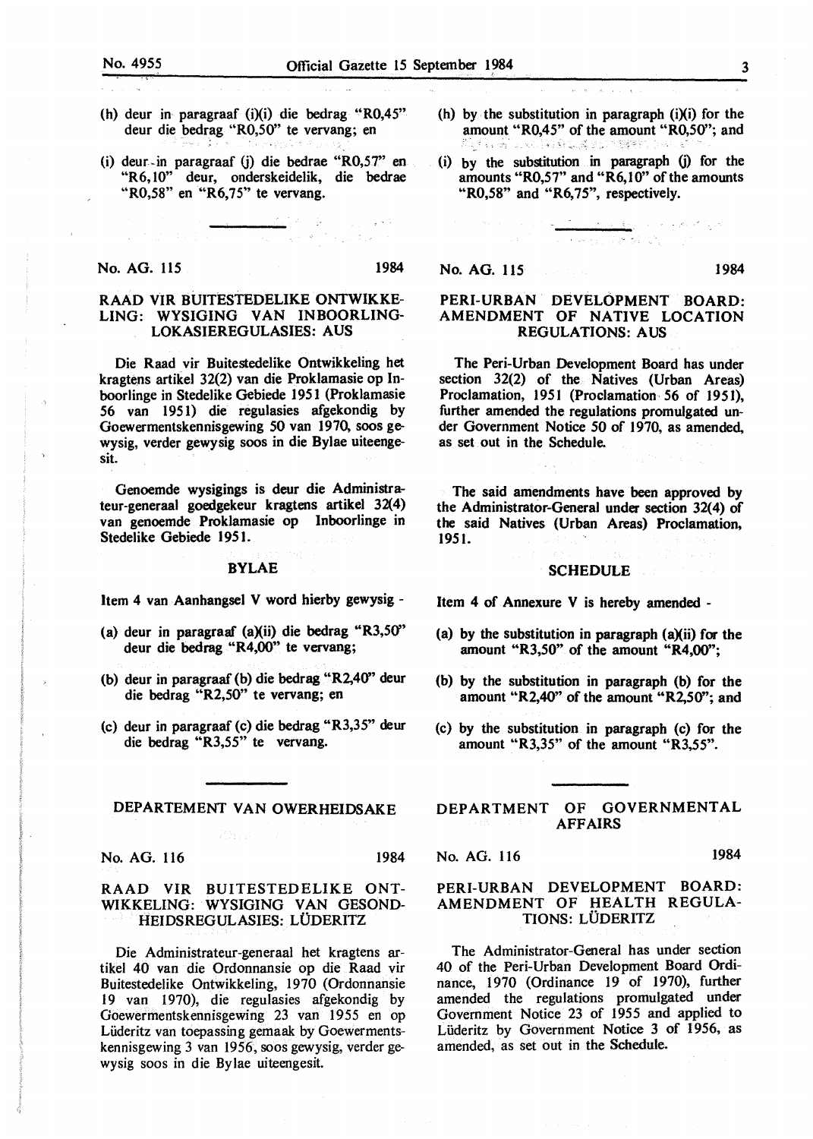- (h) deur in paragraaf (i)(i) die bedrag "R0,45" deur die bedrag "R0,50" te vervang; en
- (i) deur-in paragraaf G) die bedrae "R0,5T' en "R6, 10" deur, onderskeidelik, die bedrae "R0,58" en "R6,75" te vervang.

#### No. AG. 115 1984

n<br>Nasara Sulaw

## RAAD VIR BUITESTEDELIKE ONTWIKKE-LING: WYSIGING VAN INBOORLING-LOKASIEREGULASIES: AUS

Die Raad vir Buitestedelike Ontwikkeling bet kragtens artikel 32(2) van die Proklamasie op Inboorlinge in Stedelike Gebiede 1951 (Proklamasie 56 van 1951) die regulasies afgekondig by Goewermentskennisgewing 50 van 1970, soos gewysig, verder gewysig soos in die Bylae uiteengesit.

Genoemde wysigings is deur die Administrateur-generaaJ goedgekeur kragtens artike) 32(4) van genoemde Proklamasie op lnboorlinge in Stedelike Gebiede 1951.

#### **BYLAE**

Item 4 van Aanhangsel V word hierby gewysig -

- (a) deur in paragraaf  $(a)(ii)$  die bedrag "R3,50" deur die bedrag "R4,00" te vervang;
- (b) deur in paragraaf (b) die bedrag "R2,40" deur die bedrag "R2,50" te vervang; en
- (c) deur in paragraaf (c) die bedrag "R3,35" deur die bedrag "R3,55" te vervang.

## DEPARTEMENT VAN OWERHEIDSAKE

No. AG. 116 1984

### RAAD VIR BUITESTEDELIKE ONT-WIKKELING: WYSIGING VAN GESOND-HEIDSREGULASIES: LODERITZ

Die Administrateur-generaal bet kragtens artikel 40 van die Ordonnansie op die Raad vir Buitestedelike Ontwikkeling, 1970 (Ordonnansie 19 van 1970), die regulasies afgekondig by Goewermentskennisgewing 23 van 1955 en op Liideritz van toepassing gemaak by Goewermentskennisgewing 3 van 1956, soos gewysig, verder gewysig soos in die Bylae uiteengesit.

(h) by the substitution in paragraph  $(i)(i)$  for the amount "R0,45" of the amount "R0,50"; and <sup>~</sup>'- < "'' ..

n<br>San Kina San Line

(i) by the substitution in paragraph (j) for the amounts ''R0,57" and "R6,10" of the amounts "R0,58" and "R6,75", respectively.

No. AG. 115 1984

بالرباع المحاربين والمحارب المعارف

### PERI-URBAN DEVELOPMENT BOARD: AMENDMENT OF NATIVE LOCATION REGULATIONS: AUS

经未来的 医大戟 第二位

The Peri-Urban Development Board has under section 32(2) of the Natives (Urban Areas) Proclamation, 1951 (Proclamation 56 of 1951), further amended the regulations promulgated under Government Notice 50 of 1970, as amended, as set out in the Schedule.

The said amendments have been approved by the Administrator-General under section 32(4) of the said Natives (Urban Areas) Proclamation, 1951.

## **SCHEDULE**

Item 4 of Annexure V is hereby amended -

- (a) by the substitution in paragraph (a)(ii) for the amount ''R3,50" of the amount **"R4,00";**
- (b) by the substitution in paragraph (b) for the amount "R2,40" of the amount "R2,50''; and
- (c) by the substitution in paragraph (c) for the amount "R3,35" of the amount "R3,55".

DEPARTMENT OF GOVERNMENTAL AFFAIRS

No. AG. 116 1984

## PERI-URBAN DEVELOPMENT BOARD: AMENDMENT OF HEALTH REGULA-TIONS: LODERITZ

The Administrator-General has under section 40 of the Peri-Urban Development Board Ordinance, 1970 (Ordinance 19 of 1970), further amended the regulations promulgated under Government Notice 23 of 1955 and applied to Lüderitz by Government Notice 3 of 1956, as amended, as set out in the Schedule.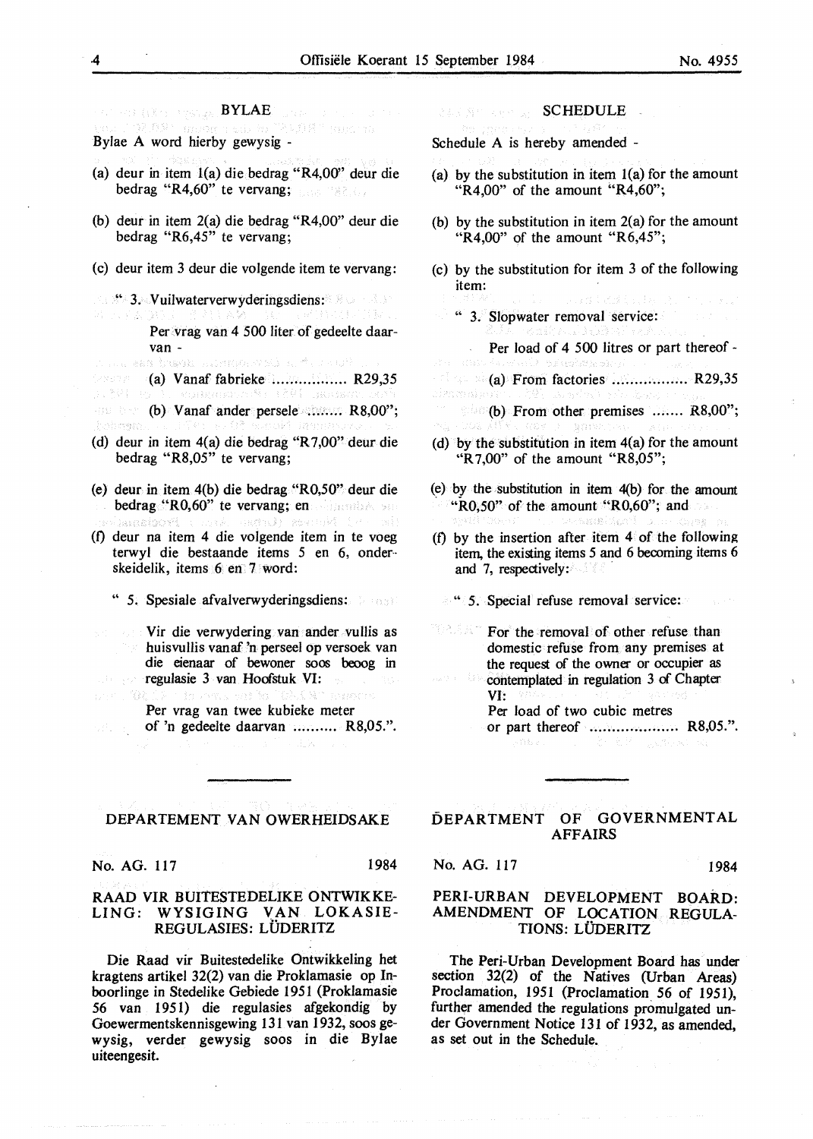$\mathbb{E}[\mathbb{E}[\mathbb{E}[\mathbb{E}[\mathbb{E}[\mathbb{E}[\mathbb{E}[\mathbb{E}[\mathbb{E}[\mathbb{E}[\mathbb{E}[\mathbb{E}[\mathbb{E}[\mathbb{E}[\mathbb{E}[\mathbb{E}[\mathbb{E}[\mathbb{E}[\mathbb{E}[\mathbb{E}[\mathbb{E}[\mathbb{E}[\mathbb{E}[\mathbb{E}[\mathbb{E}[\mathbb{E}[\mathbb{E}[\mathbb{E}[\mathbb{E}[\mathbb{E}[\mathbb{E}[\mathbb{E}[\mathbb{E}[\mathbb{E}[\mathbb{E}[\mathbb{E}[\mathbb{$  $\mathcal{C}\in\mathcal{C}_{\mathcal{C}}$ "老规模" main ra Bylae A word hierby gewysig -

- (a) deur in item l(a) die bedrag "R4,00'' deur die bedrag "R4,60" te vervang;
- (b) deur in item 2(a) die bedrag "R4,00" deur die bedrag "R6,45" te vervang;
- (c) deur item 3 deur die volgende item te vervang:
- **S. S. Vuilwaterverwyderingsdiens:** Per. vrag van 4 500 liter of gedeelte daarvan -<br>Ann as based British San Ing
- (a) Vanaf fabrieke .................. R29,35<br>3. 2010 La Bankana, arthur additional activ

**(b) Vanaf ander persele ......... R8,00";** hinharreso

- (d) deur in item 4(a) die bedrag "R 7,00" deur die bedrag "R8,05" te vervang;
- (e) deur in item 4(b) die bedrag "R0,50" deur die bedrag "R0,60" te vervang; en administration Prodisense SHANDY REVING IV
- (f) deur na item 4 die volgende item in te voeg terwyl die bestaande items 5 en 6, onder- skeidelik, items 6 en 7 word:
	- " 5. Spesiale afvalverwyderingsdiens:
- Vir die verwydering van ander vullis as huisvullis vanaf 'n perseel op versoek van die eienaar of bewoner soos beoog in regulasie 3 van Hoofstuk VI: wer 19

Per vrag van twee kubieke meter

of 'n gedeelte daarvan .......... R8,05.".

#### DEPARTEMENT VAN OWERHEIDSAKE

No. AG. 117 1984

 $\mathcal{B}(\cdot, \cdot)$ 

## RAAD VIR BUITESTEDELIKE ONTWIKKE-LING: WYSIGING VAN LOKASIE-REGULASIES: LÜDERITZ

Die Raad vir Buitestedelike Ontwikkeling het kragtens artikel 32(2) van die Proklamasie op lnboorlinge in Stedelike Gebiede 1951 (Proklamasie 56 van 1951) die regulasies afgekondig by Goewermentskennisgewing 131 van 1932, soos gewysig, verder gewysig soos in die Bylae uiteengesit.

243 88 388 25 SCHEDULE

Schedule A is hereby amended -

- (a) by the substitution in item  $l(a)$  for the amount " $R4.00$ " of the amount " $R4.60$ ";
- (b) by the substitution in item 2(a) for the amount " $R4.00$ " of the amount " $R6.45$ ";
- (c) by the substitution for item 3 of the following item:
	- " 3. Slopwater removal service:

Per load of 4 500 litres or part thereof -

 $\sim$  (a) From factories .................. R29,35 cimmaty

 ${\bf (b)}$  From other premises ....... R8,00";

- (d) by the substitution in item  $4(a)$  for the amount "R 7,00" of the amount "R8,05";
- $(e)$  by the substitution in item  $4(b)$  for the amount " $R0,50$ " of the amount " $R0,60$ "; and

(f) by the insertion after item  $4$  of the following item, the existing items 5 and 6 becoming items 6 and 7, respectively:

- " 5. Special refuse removal service:
- "안츠들을" For the removal of other refuse than domestic refuse from any premises at the request of the owner or occupier as
	- contemplated in regulation 3 of Chapter VI:
	- Per load of two cubic metres
	- or part thereof ........................ R8,05.".

## DEPARTMENT OF GOVERNMENTAL AFFAIRS

No. AG. 117 1984

## PERI-URBAN DEVELOPMENT BOARD: AMENDMENT OF LOCATION REGULA-TIONS: LÜDERITZ

The Peri-Urban Development Board has under section 32(2) of the Natives (Urban Areas) Proclamation, 1951 (Proclamation 56 of 1951), further amended the regulations promulgated under Government Notice 131 of 1932, as amended, as set out in the Schedule.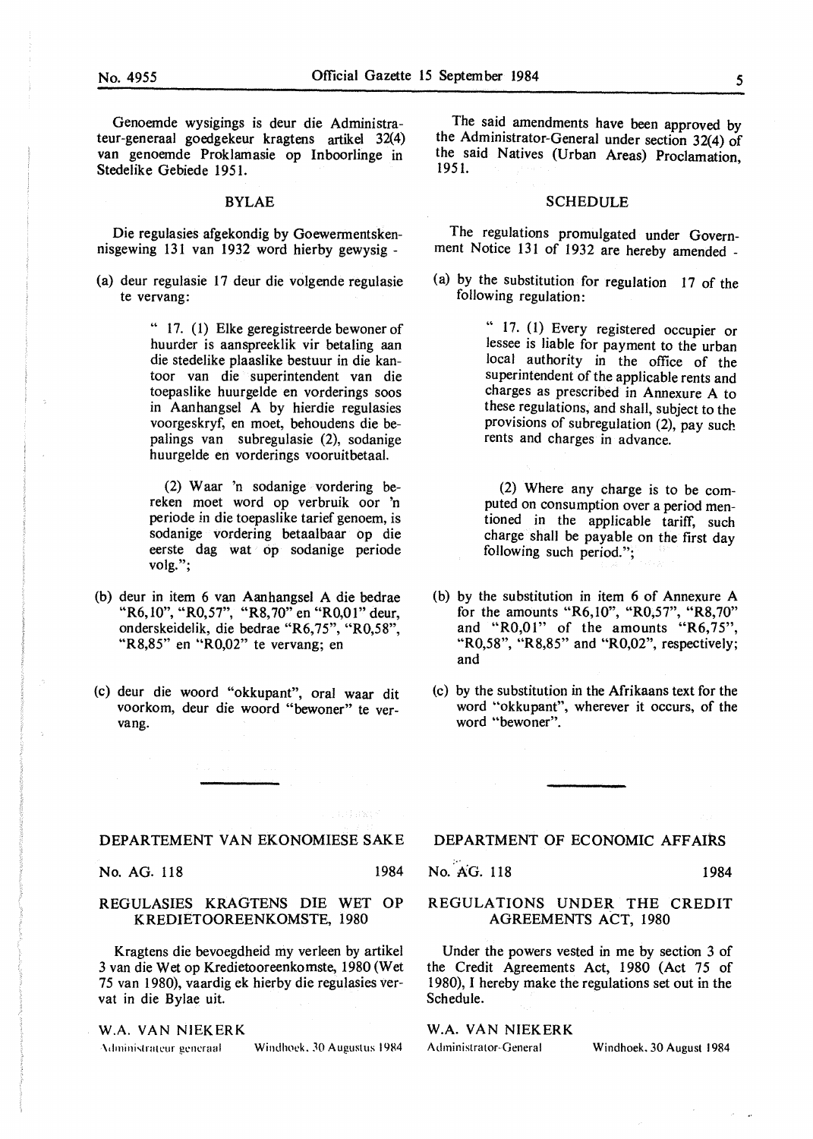Genoemde wysigings is deur die Administrateur-generaal goedgekeur kragtens artikel 32(4) van genoemde Proklamasie op Inboorlinge in Stedelike Gebiede 1951.

#### **BYLAE**

Die regulasies afgekondig by Goewermentskennisgewing 131 van 1932 word hierby gewysig -

(a) deur regulasie 17 deur die volgende regulasie te vervang:

> " 17. (1) Elke geregistreerde bewoner of huurder is aanspreeklik vir betaling aan die stedelike plaaslike bestuur in die kantoor van die superintendent van die toepaslike huurgelde en vorderings soos in Aanhangsel A by hierdie regulasies voorgeskryf, en moet, behoudens die bepalings van subregulasie (2), sodanige huurgelde en vorderings vooruitbetaal.

> (2) **W** aar 'n sodanige vordering bereken moet word op verbruik oor 'n periode in die toepaslike tarief genoem, is sodanige vordering betaalbaar op die eerste dag wat op sodanige periode volg.";

- (b) deur in item 6 van Aanhangsel A die bedrae "R6, 10", "R0, 57", "R8, 70" en "R0, 01" deur, onderskeidelik, die bedrae "R6,75", "R0,58", "R8,85" en "R0,02" te vervang; en
- (c) deur die woord "okkupant", oral waar dit voorkom, deur die woord "bewoner" te vervang.

The said amendments have been approved by the Administrator-General under section 32(4) of the said Natives (Urban Areas) Proclamation, 195 l.

#### SCHEDULE

The regulations promulgated under Government Notice 131 of 1932 are hereby amended -

(a) by the substitution for regulation 17 of the following regulation:

> " 17. (1) Every registered occupier or lessee is liable for payment to the urban local authority in the office of the superintendent of the applicable rents and charges as prescribed in Annexure A to these regulations, and shall, subject to the provisions of subregulation (2), pay such rents and charges in advance.

> (2) Where any charge is to be computed on consumption over a period mentioned in the applicable tariff, such charge shall be payable on the first day following such period.";

- (b) by the substitution in item 6 of Annexure A for the amounts "R6,10", "R0,57", "R8,70" and " $R0,01$ " of the amounts " $R6,75$ ", "R0,58", "R8,85" and "R0,02", respectively; and
- (c) by the substitution in the Afrikaans text for the word "okkupant", wherever it occurs, of the word "bewoner".

#### DEPARTEMENT VAN EKONOMIESE SAKE

No. AG. 118 1984

## REGULASIES KRAGTENS DIE WET OP KREDIETOOREENKOMSTE, 1980

Kragtens die bevoegdheid my verleen by artikel 3 van die Wet op Kredietooreenkomste, 1980 (Wet 75 van 1980), vaardig ek hierby die regulasies vervat in die Bylae uit.

#### W.A. VAN NJEKERK

Administrateur generaal Windhoek, 30 Augustus 1984

## DEPARTMENT OF ECONOMIC AFFAIRS

No. AG. 118 1984

## REGULATIONS UNDER THE CREDIT AGREEMENTS ACT, 1980

Under the powers vested in me by section 3 of the Credit Agreements Act, 1980 (Act 75 of 1980), I hereby make the regulations set out in the Schedule.

## **W.A. VAN NIEKERK**

Administrator-General Windhoek. 30 August 1984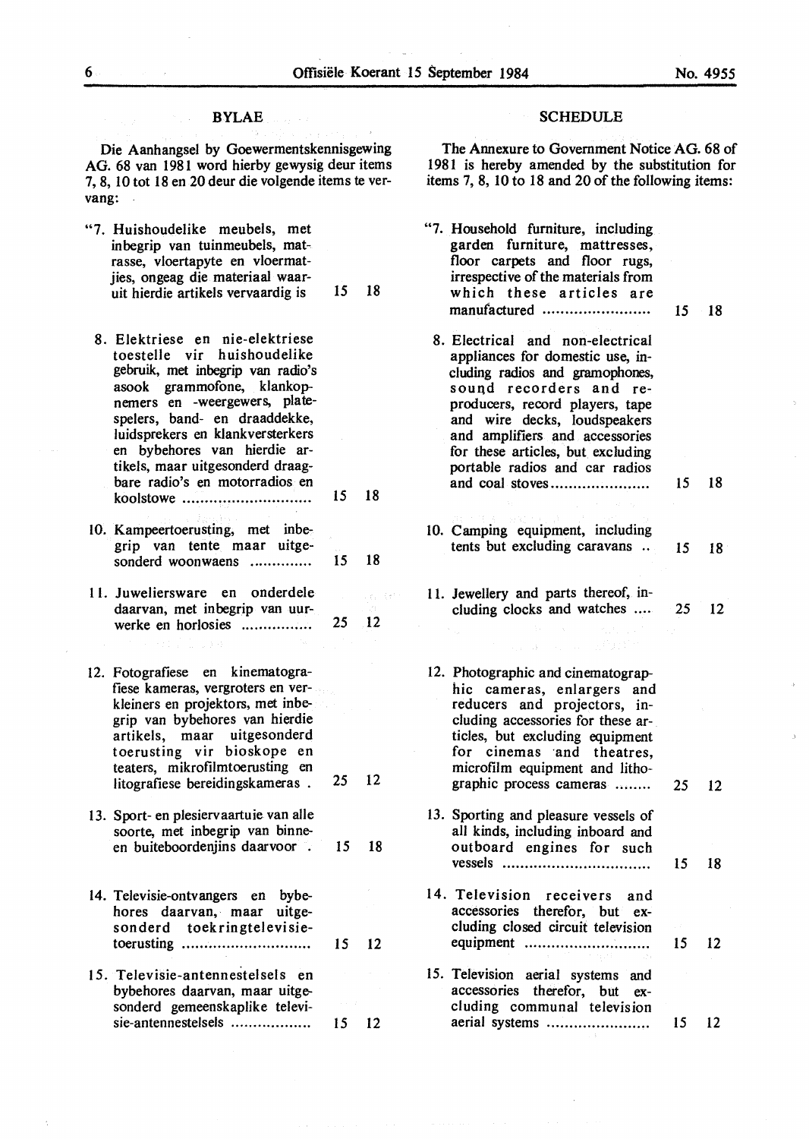### BYLAE

Die Aanhangsel by Goewermentskennisgewing AG. 68 van 1981 word hierby gewysig deur items 7, 8, 10 tot 18 en 20 deur die volgende items te vervang:

- "7. Huishoudelike meubels, met inbegrip van tuinmeubels, matrasse, vloertapyte en vloermatjies, ongeag die materiaal waaruit hierdie artikels vervaardig is 15 18
- 8. Elektriese en nie-elektriese toestelle vir huishoudelike gebruik, met inbegrip van radio's asook grammofone, klankopnemers en -weergewers, platespelers, band- en draaddekke, luidsprekers en klankversterkers en bybehores van hierdie artikels, maar uitgesonderd draagbare radio's en motorradios en koolstowe . . . . . . . . . . . . . . .. . . . . . . . . . . . . . 15 18
- 10. Kampeertoerusting, met inbegrip van tente maar uitgesonderd woonwaens .............. 15 18
- 11. Juweliersware en onderdele daarvan, met in begrip van uurwerke en horlosies ................ 25 12
- 12. Fotografiese en kinematografiese kameras, vergroters en verkleiners en projektors, met inbegrip van bybehores van hierdie artikels, maar uitgesonderd toerusting vir bioskope en teaters, mikrofilmtoerusting en litografiese bereidingskameras . 25 12
- 13. Sport- en plesiervaartuie van alle soorte, met inbegrip van binneen buiteboordenjins daarvoor . 15 18
- 14. Televisie-ontvangers en bybehores daarvan, maar uitgeson derd toekringtelevisietoerusting .. .. .. . . . . . . . . . . . . . . . . . . . . .. . 15 12
- 15. Televisie-antennestelsels en bybehores daarvan, maar uitgesonderd gemeenskaplike televisie-antennestelsels . . .. .. . .. . ... . .. .. 15 12

### SCHEDULE

The Annexure to Government Notice AG. 68 of 1981 is hereby amended by the substitution for items 7, 8, 10 to 18 and 20 of the following items:

"7. Household furniture, including garden furniture, mattresses, floor carpets and floor rugs, irrespective of the materials from which these articles are manufactured ........................ 15 18 8. Electrical and non-electrical appliances for domestic use, including radios and gramophones, sound recorders and reproducers, record players, tape and wire decks, loudspeakers and amplifiers and accessories for these articles, but excluding portable radios and car radios and coal stoves...................... 15 18 IO. Camping equipment, including tents but excluding caravans .. 15 18 11. Jewellery and parts thereof, inle, cen cluding clocks and watches .... 25 12 12. Photographic and cinematographic cameras, enlargers and reducers and projectors, including accessories for these articles, but excluding equipment for cinemas and theatres, microfilm equipment and lithographic process cameras ........ 25 12 13. Sporting and pleasure vessels of all kinds, including inboard and outboard engines for such vessels ................................. 15 18 14. Television receivers and accessories therefor, but excluding closed circuit television equipment ............................ 15 12 15. Television aerial systems and accessories therefor, but excluding communal television aerial systems . . . . . . . . . . . . . . .. . . . . . . . 15 12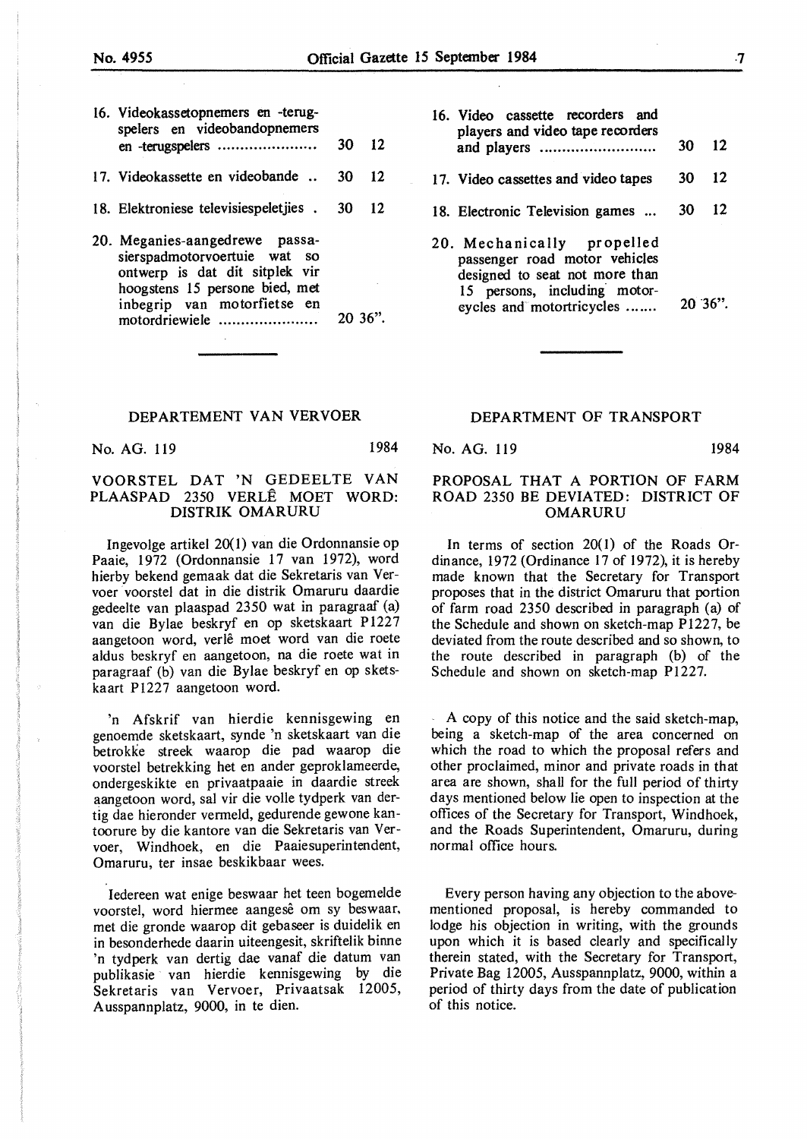| ۰. |
|----|
|    |
|    |

| 16. Videokassetopnemers en -terug-<br>spelers en videobandopnemers                                                                                                |    |                 |  |  |
|-------------------------------------------------------------------------------------------------------------------------------------------------------------------|----|-----------------|--|--|
| en -terugspelers                                                                                                                                                  | 30 | $\overline{12}$ |  |  |
| 17. Videokassette en videobande                                                                                                                                   | 30 | 12              |  |  |
| 18. Elektroniese televisiespeletjies.                                                                                                                             | 30 | 12              |  |  |
| 20. Meganies-aangedrewe passa-<br>sierspadmotorvoertuie wat so<br>ontwerp is dat dit sitplek vir<br>hoogstens 15 persone bied, met<br>inbegrip van motorfietse en |    |                 |  |  |

#### DEPARTEMENT VAN VERVOER

motordriewiele ...................... 20 36".

No. AG. 119 1984

## **VOORSTEL DAT 'N** GEDEELTE VAN **PLAASPAD** 2350 VERLE MOET **WORD: DISTRIK OMARURU**

Ingevolge artikel 20(1) van die Ordonnansie op Paaie, 1972 (Ordonnansie 17 van 1972), word hierby bekend gemaak dat die Sekretaris van Vervoer · voorstel dat in die distrik Omaruru daardie gedeelte van plaaspad 2350 wat in paragraaf (a) van die Bylae beskryf en op sketskaart Pl227 aangetoon word, verle moet word van die roete aldus beskryf en aangetoon, na die roete wat in paragraaf (b) van die Bylae beskryf en op sketskaart Pl227 aangetoon word.

'n Afskrif van hierdie kennisgewing en genoemde sketskaart, synde 'n sketskaart van die betrokke streek waarop die pad waarop die voorstel betrekking het en ander geproklameerde, ondergeskikte en privaatpaaie in daardie streek aangetoon word, sal vir die voile tydperk van dertig dae hieronder vermeld, gedurende gewone kantoorure by die kantore van die Sekretaris van Vervoer, Windhoek, en die Paaiesuperintendent, Omaruru, ter insae beskikbaar wees.

Iedereen wat enige beswaar het teen bogemelde voorstel, word hiermee aangesê om sy beswaar, met die gronde waarop dit gebaseer is duidelik en in besonderhede daarin uiteengesit, skriftelik binne 'n tydperk van dertig dae vanaf die datum van publikasie van hierdie kennisgewing by die Sekretaris van Vervoer, Privaatsak 12005, A usspannplatz, 9000, in te dien.

| 16. Video cassette recorders and<br>players and video tape recorders | 30         | $\overline{12}$ |
|----------------------------------------------------------------------|------------|-----------------|
| 17. Video cassettes and video tapes                                  | $30 \t 12$ |                 |
| 18. Electronic Television games                                      | - 30 -     | -12             |

20. Mechanically propelled passenger road motor vehicles designed to seat not more than 15 persons, including· motoreycles and motortricycles ....... 20 36".

#### DEPARTMENT OF TRANSPORT

#### No. AG. 119 1984

## **PROPOSAL THAT A PORTION OF FARM ROAD** 2350 BE DEVIATED: **DISTRICT OF OMARURU**

In terms of section  $20(1)$  of the Roads Ordinance, 1972 (Ordinance 17 of 1972), it is hereby made known that the Secretary for Transport proposes that in the district Omaruru that portion of farm road 2350 described in paragraph (a) of the Schedule and shown on sketch-map P1227, be deviated from the route described and so shown, to the route described in paragraph (b) of the Schedule and shown on sketch-map P1227.

A copy of this notice and the said sketch-map, being a sketch-map of the area concerned on which the road to which the proposal refers and other proclaimed, minor and private roads in that area are shown, shall for the full period of thirty days mentioned below lie open to inspection at the offices of the Secretary for Transport, Windhoek, and the Roads Superintendent, Omaruru, during normal office hours.

Every person having any objection to the abovementioned proposal, is hereby commanded to lodge his objection in writing, with the grounds upon which it is based clearly and specifically therein stated, with the Secretary for Transport, Private Bag 12005, Ausspannplatz, 9000, within a period of thirty days from the date of publication of this notice.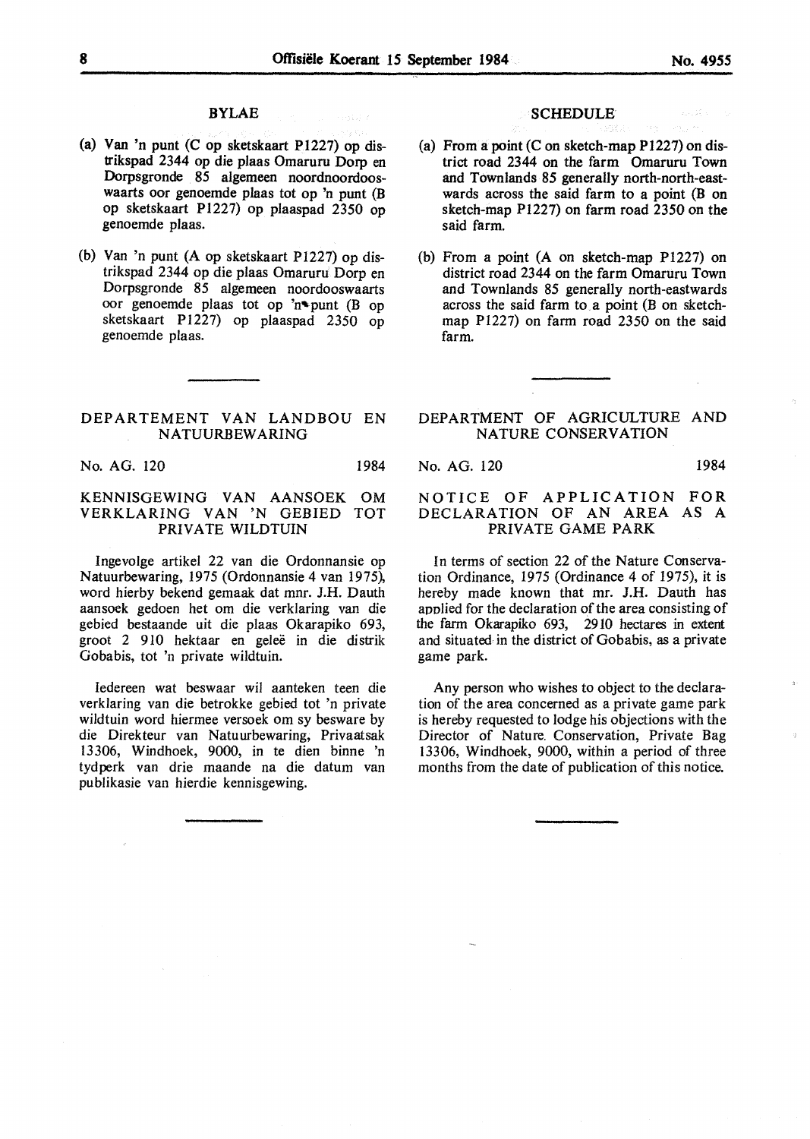## BYLAE

- (a) Van 'n punt (C op sketskaart P1227) op distrikspad 2344 op die plaas Omaruru Dorp en Dorpsgronde 85 algemeen noordnoordooswaarts oor genoemde plaas tot op 'n punt (B op sketskaart Pl227) op plaaspad 2350 op genoemde plaas.
- (b) Van 'n punt (A op sketskaart P1227) op distrikspad 2344 op die plaas Omaruru Dorp en Dorpsgronde 85 algemeen noordooswaarts oor genoemde plaas tot op 'n' punt (B op sketskaart P1227) op plaaspad 2350 op genoemde plaas.

### DEPARTEMENT VAN LANDBOU EN NATUURBEWARING

No. AG. 120 1984

## KENNISGEWING VAN AANSOEK OM VERKLARING VAN 'N GEBIED TOT PRIVATE WILDTUIN

Ingevolge artikel 22 van die Ordonnansie op Natuurbewaring, 1975 (Ordonnansie 4 van 1975), word hierby bekend gernaak dat mnr. J.H. Dauth aansoek gedoen het om die verklaring van die gebied bestaande uit die plaas Okarapiko 693, groot 2 910 hektaar en gelee in die distrik Gobabis, tot 'n private wildtuin.

Iedereen wat beswaar wil aanteken teen die verklaring van die betrokke gebied tot 'n private wildtuin word hiermee versoek om sy besware by die Direkteur van Natuurbewaring, Privaatsak 13306, Windhoek, 9000, in te dien binne 'n tyd perk van drie maande na die datum van publikasie van hierdie kennisgewing.

### **SCHEDULE**

- (a) From a point  $(C \text{ on sketch-map } P1227)$  on district road 2344 on the farm Omaruru Town and Townlands 85 generally north-north-eastwards across the said farm to a point (B on sketch-map P1227) on farm road 2350 on the said farm.
- (b) From a point (A on sketch-map Pl227) on district road 2344 on the farm Omaruru Town and Townlands 85 generally north-eastwards across the said farm to. a point (B on sketchmap Pl227) on farm road 2350 on the said farm.

## DEPARTMENT OF AGRICULTURE AND NATURE CONSERVATION

No. AG. 120 1984

### NOTICE OF APPLICATION FOR DECLARATION OF AN AREA AS A PRIVATE GAME PARK

In terms of section 22 of the Nature Conservation Ordinance, 1975 (Ordinance 4 of 1975), it is hereby made known that mr. J.H. Dauth has applied for the declaration of the area consisting of the farm Okarapiko 693, 2910 hectares in extent and situated in the district of Gobabis, as a private game park.

Any person who wishes to object to the declaration of the area concerned as a private game park is hereby requested to lodge his objections with the Director of Nature. Conservation, Private Bag 13306, Windhoek, 9000, within a period of three months from the date of publication of this notice.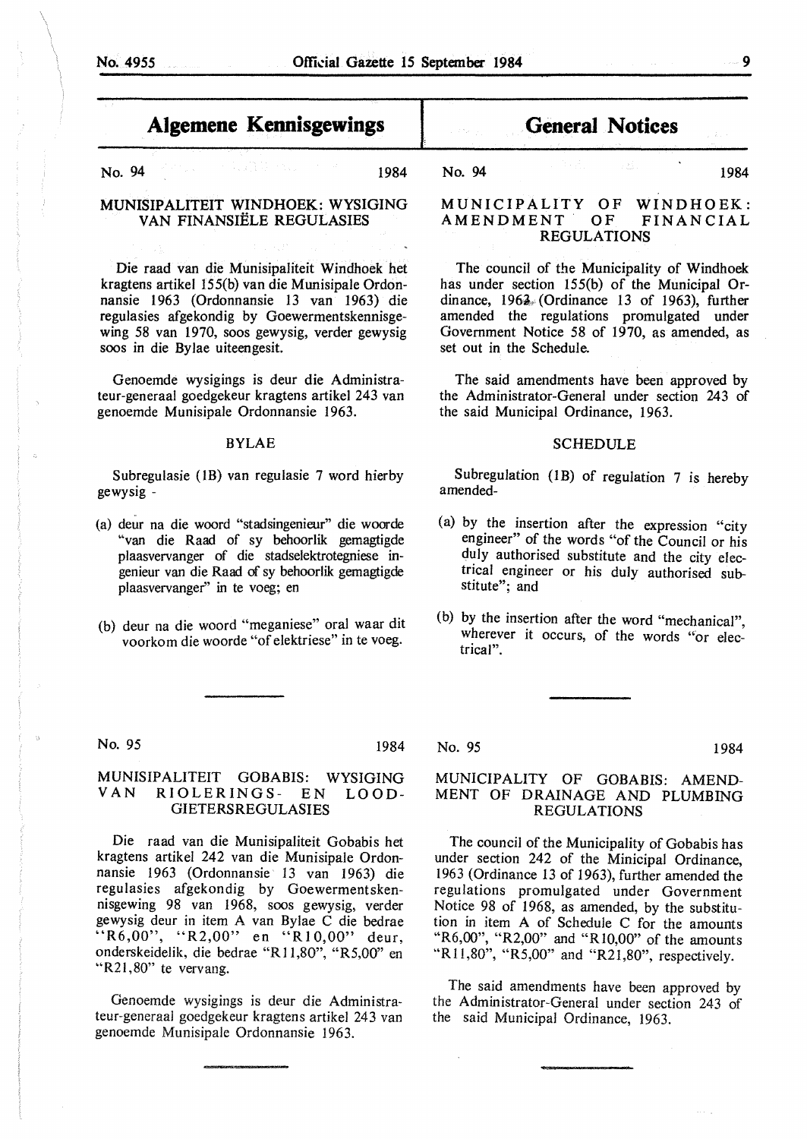No. 94 1984

MUNISIPALITEIT WINDHOEK: WYSIGING VAN FINANSIELE REGULASIES

Die raad van die Munisipaliteit Windhoek het kragtens artikel 155(b) van die Munisipale Ordonnansie 1963 (Ordonnansie 13 van 1963) die regulasies af gekondig by Goewermentskennisgewing 58 van 1970, soos gewysig, verder gewysig soos in die Bylae uiteengesit.

Genoemde wysigings is deur die Administrateur-generaal goedgekeur kragtens artikel 243 van genoemde Munisipale Ordonnansie 1963.

#### **BYLAE**

Subregulasie (1B) van regulasie 7 word hierby gewysig -

- (a) deur na die woord "stadsingenieur" die woorde "van die Raad of sy behoorlik gemagtigde plaasvervanger of die stadselektrotegniese ingenieur van die Raad of sy behoorlik gemagtigde plaasvervanger'' in te voeg; en
- (b) deur na die woord "meganiese" oral waar dit voorkom die woorde "of elektriese" in te voeg.

# **General Notices**

No. 94 1984

## **MUNICIPALITY OF WINDHOEK: AMENDMENT OF FINANCIAL REGULATIONS**

The council of the Municipality of Windhoek has under section 155(b) of the Municipal Ordinance,  $1962/$  (Ordinance 13 of 1963), further amended the regulations promulgated under Government Notice 58 of 1970, as amended, as set out in the Schedule.

The said amendments have been approved by the Administrator-General under section 243 of the said Municipal Ordinance, 1963.

#### SCHEDULE

Subregulation (lB) of regulation 7 is hereby amended-

- (a) by the insertion after the expression "city engineer" of the words "of the Council or his duly authorised substitute and the city electrical engineer or his duly authorised substitute"; and
- (b) by the insertion after the word "mechanical" wherever it occurs, of the words "or electrical".

No. 95 1984

## MUNISIPALITEIT GOBABIS: WYSIGING RIOLERINGS- EN LOOD-GIETERSREGULASIES

Die raad van die Munisipaliteit Gobabis het kragtens artikel 242 van die Munisipale Ordonnansie 1963 (Ordonnansie 13 van 1963) die regulasies afgekondig by Goewermentskennisgewing 98 van 1968, soos gewysig, verder gewysig deur in item A van Bylae C die bedrae "R6,00", "R2,00" en "R10,00" deur, onderskeidelik, die bedrae "Rl 1,80", "RS,00" en "R21,80" te vervang.

Genoemde wysigings is deur die Administrateur-generaal goedgekeur kragtens artikel 243 van genoemde Munisipale Ordonnansie 1963.

No. 95 1984

## MUNICIPALITY OF GOBABIS: AMEND-MENT OF DRAINAGE AND PLUMBING REGULATIONS

The council of the Municipality of Gobabis has under section 242 of the Minicipal Ordinance, 1963 (Ordinance 13 of 1963), further amended the regulations promulgated under Government Notice 98 of 1968, as amended, by the substitution in item A of Schedule C for the amounts "R6,00", "R2,00" and "Rl0,00" of the amounts "R11,80", "R5,00" and "R21,80", respectively.

The said amendments have been approved by the Administrator-General under section 243 of the said Municipal Ordinance, 1963.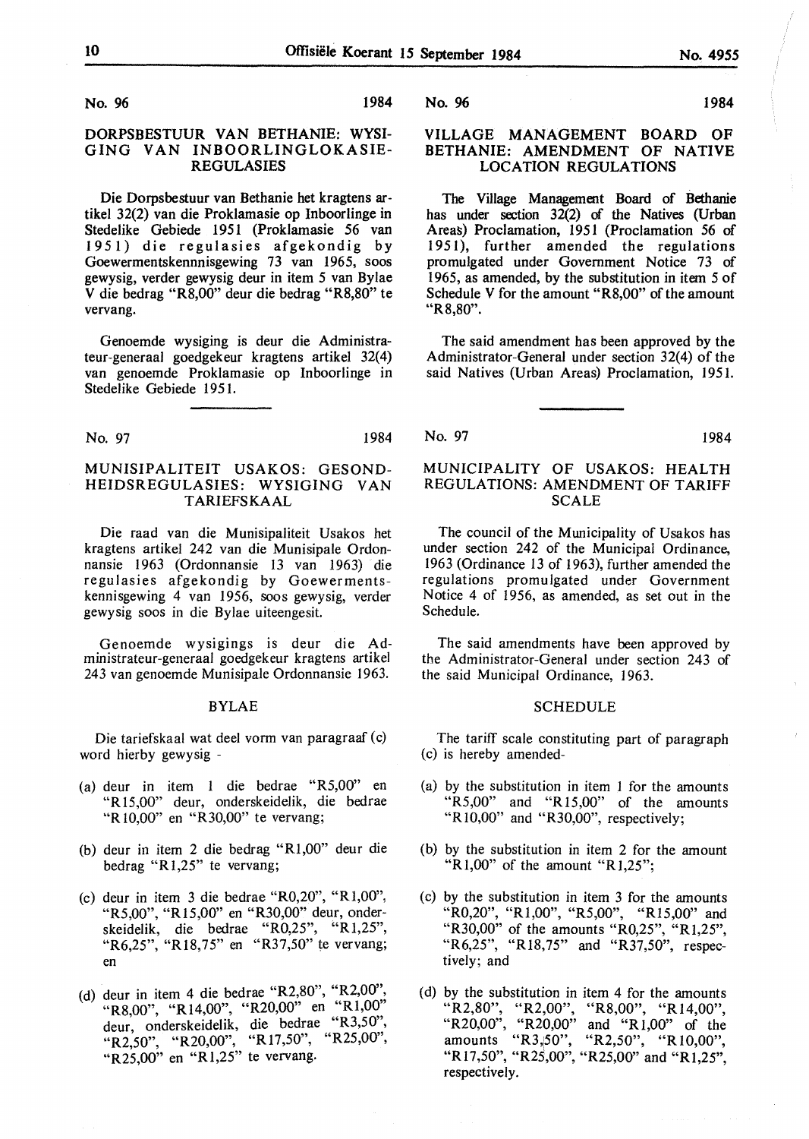No. 96 1984

## DORPSBESTUUR VAN BETHANIE: WYSI-GING VAN INBOORLINGLOKASIE-REGULASIES

Die Dorpsbestuur van Bethanie bet kragtens artikel 32(2) van die Proklamasie op Inboorlinge in Stedelike Gebiede 1951 (Proklamasie 56 van 1951) die regulasies afgekondig by Goewermentskennnisgewing 73 van 1965, soos gewysig, verder gewysig deur in item *5* van Bylae V die bedrag "R8,00" deur die bedrag "R8,80" te vervang.

Genoemde wysiging is deur die Administrateur-generaal goedgekeur kragtens artikel 32(4) van genoemde Proklamasie op Inboorlinge in Stedelike Gebiede 1951.

No. 97 1984

## **MUNISIPALITEIT USAKOS: GESOND-HEIDSREGULASIES: WYSIGING VAN**  T **ARIEFSKAAL**

Die raad van die Munisipaliteit Usakos het kragtens artikel 242 van die Munisipale Ordonnansie 1963 (Ordonnansie 13 van 1963) die regulasies afgekondig by Goewermentskennisgewing 4 van 1956, soos gewysig, verder gewysig soos in die Bylae uiteengesit.

Genoemde wysigings is deur die Administrateur-generaal goedgekeur kragtens artikel 243 van genoemde Munisipale Ordonnansie 1963.

#### BYLAE

Die tariefskaal wat deel vorm van paragraaf (c) word hierby gewysig -

- (a) deur in item 1 die bedrae "R5,00" en **"R** 15,00" deur, onderskeidelik, die bedrae **"R** 10,00" en "R30,00" te vervang;
- (b) deur in item 2 die bedrag "Rl,00" deur die bedrag **"R** 1,25" te vervang;
- (c) deur in item 3 die bedrae "R0,20", "Rl,00", "R5,00", "Rl5,00" en "R30,00" deur, onderskeidelik, die bedrae "R0,25", "Rl,25", "R6,25", "Rl8,75" en "R37,50" te vervang; en
- (d) deur in item 4 die bedrae "R2,80", "R2,00", "R8,00", "R14,00", "R20,00" en "Rl,00" deur, onderskeidelik, die bedrae "R3,50", "R2,50", "R20,00", "R17,50", "R25,00", "R25,00" en "Rl,25" te vervang.

No. 96 1984

## **VILLAGE MANAGEMENT BOARD OF BETHANIE: AMENDMENT OF NATIVE LOCATION REGULATIONS**

The Village Management Board of Bethanie has under section 32(2) of the Natives (Urban Areas) Proclamation, 1951 (Proclamation 56 of 195 I), further amended the regulations promulgated under Government Notice 73 of 1965, as amended, by the substitution in item *5* of Schedule V for the amount "R8,00" of the amount "R8,80".

The said amendment has been approved by the Administrator-General under section 32(4) of the said Natives (Urban Areas) Proclamation, 1951.

No. 97 1984

## MUNICIPALITY OF USAKOS: HEALTH REGULATIONS: AMENDMENT OF TARIFF SCALE

The council of the Municipality of Usakos has under section 242 of the Municipal Ordinance, 1963 (Ordinance 13 of 1963), further amended the regulations promulgated under Government Notice 4 of 1956, as amended, as set out in the Schedule.

The said amendments have been approved by the Administrator-General under section 243 of the said Municipal Ordinance, 1963.

#### **SCHEDULE**

The tariff scale constituting part of paragraph (c) is hereby amended-

- (a) by the substitution in item 1 for the amounts "R5,00" and "R15,00" of the amounts "R 10,00" and "R30,00", respectively;
- (b) by the substitution in item 2 for the amount "R  $1,00$ " of the amount "R  $1,25$ ";
- ( c) by the substitution in item 3 for the amounts "R0,20", "Rl,00", "R5,00", "R15,00" and "R30,00" of the amounts "R0,25", "RJ,25", "R6,25", "Rl8,75" and "R37,50", respectively; and
- ( d) by the substitution in item 4 for the amounts "R2,80", "R2,00", "R8,00", **"R** 14,00", "R20,00", "R20,00" and "R 1,00" of the amounts "R3,50", "R2,50", "R10,00", "R17,50", "R25,00", "R25,00" and "R1,25", respectively.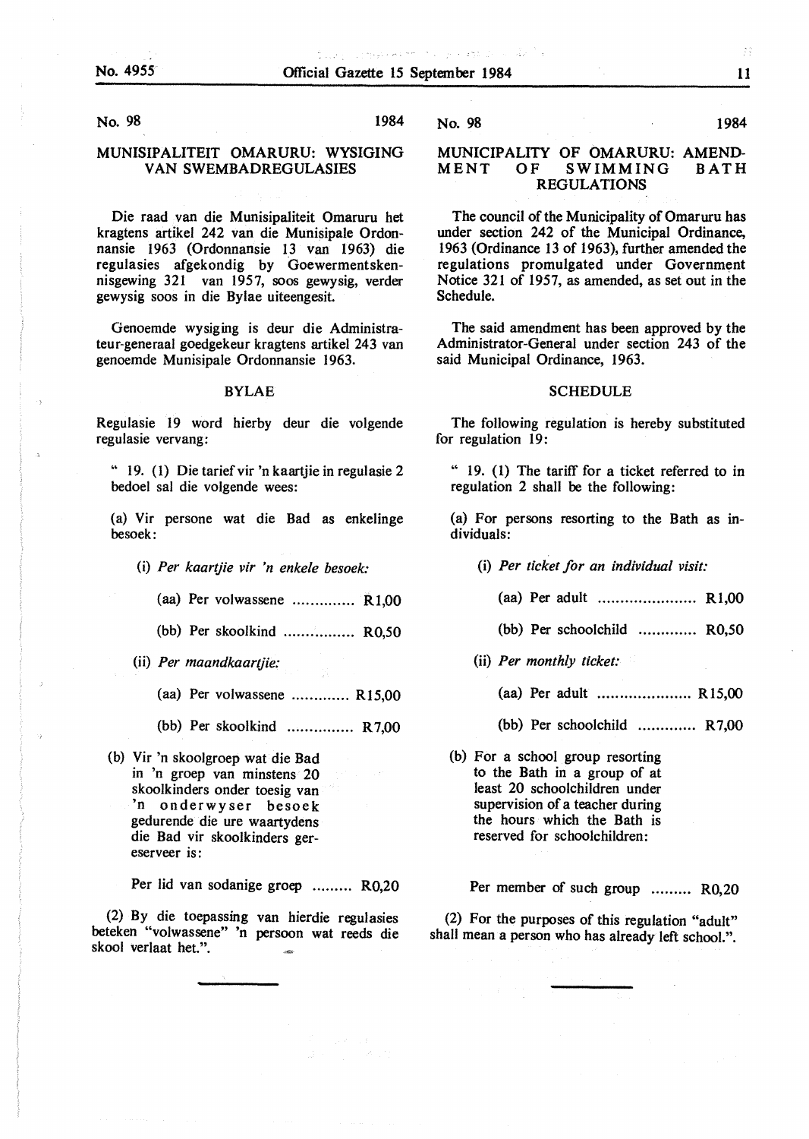No. 98 1984

#### **MUNISIPALITEIT OMARURU: WYSIGING**  VAN SWEMBADREGULASIES

Die raad van die Munisipaliteit Omaruru het kragtens artikel 242 van die Munisipale Ordonnansie 1963 (Ordonnansie 13 van 1963) die regulasies afgekondig by Goewermentskennisgewing 321 van 1957, soos gewysig, verder gewysig soos in die Bylae uiteengesit.

Genoemde wysiging is deur die Administrateur-generaal goedgekeur kragtens artikel 243 van genoemde Munisipale Ordonnansie 1963.

#### **BYLAE**

Regulasie 19 word hierby deur die volgende regulasie vervang:

" 19. ( 1) Die tarief vir 'n kaartjie in regulasie 2 bedoel sal die volgende wees:

(a) Vir persone wat die Bad as enkelinge besoek:

- (i) *Per kaartjie vir 'n enkele besoek:* 
	- (aa) Per volwassene .............. Rl,00
	- (bb) Per skoolkind ................ R0,50
- (ii) *Per maandkaartjie:* 
	- (aa) Per volwassene ............. R15,00
	- (bb) Per skoolkind ............... R 7,00
- (b) Vir 'n skoolgroep wat die Bad in 'n groep van minstens 20 skoolkinders onder toesig van 'n onderwy ser besoek gedurende die ure waartydens die Bad vir skoolkinders gereserveer is:

Per lid van sodanige groep ......... **R0,20** 

(2) By die toepassing van hierdie regulasies beteken "volwassene" 'n persoon wat reeds die skool verlaat bet.".

No. 98 1984

### **MUNICIPALITY** OF **OMARURU: AMEND-**MENT OF **SWIMMING** BATH **REGULATIONS**

The council of the Municipality of Omaruru has under section 242 of the Municipal Ordinance, 1963 (Ordinance 13 of 1963), further amended the regulations promulgated under Government Notice 321 of 1957, as amended, as set out in the Schedule.

The said amendment has been approved by the Administrator-General under section 243 of the said Municipal Ordinance, 1963.

#### SCHEDULE

The following regulation is hereby substituted for regulation 19:

" 19. (1) The tariff for a ticket referred to in regulation 2 shall be the following:

(a) For persons resorting to the Bath as individuals:

- (i) *Per ticket for an individual visit:* 
	- (aa) Per adult ...................... Rl,00
	- (bb) Per schoolchild R0,50
- (ii) *Per monthly ticket:* 
	- (aa) Per adult ..................... Rl5,00
	- (bb) Per schoolchild ............. R 7,00
- (b) For a school group resorting to the Bath in a group of at least 20 schoolchildren under supervision of a teacher during the hours which the Bath is reserved for schoolchildren:

Per member of such group ......... R0,20

(2) For the purposes of this regulation "adult" shall mean a person who has already left school.".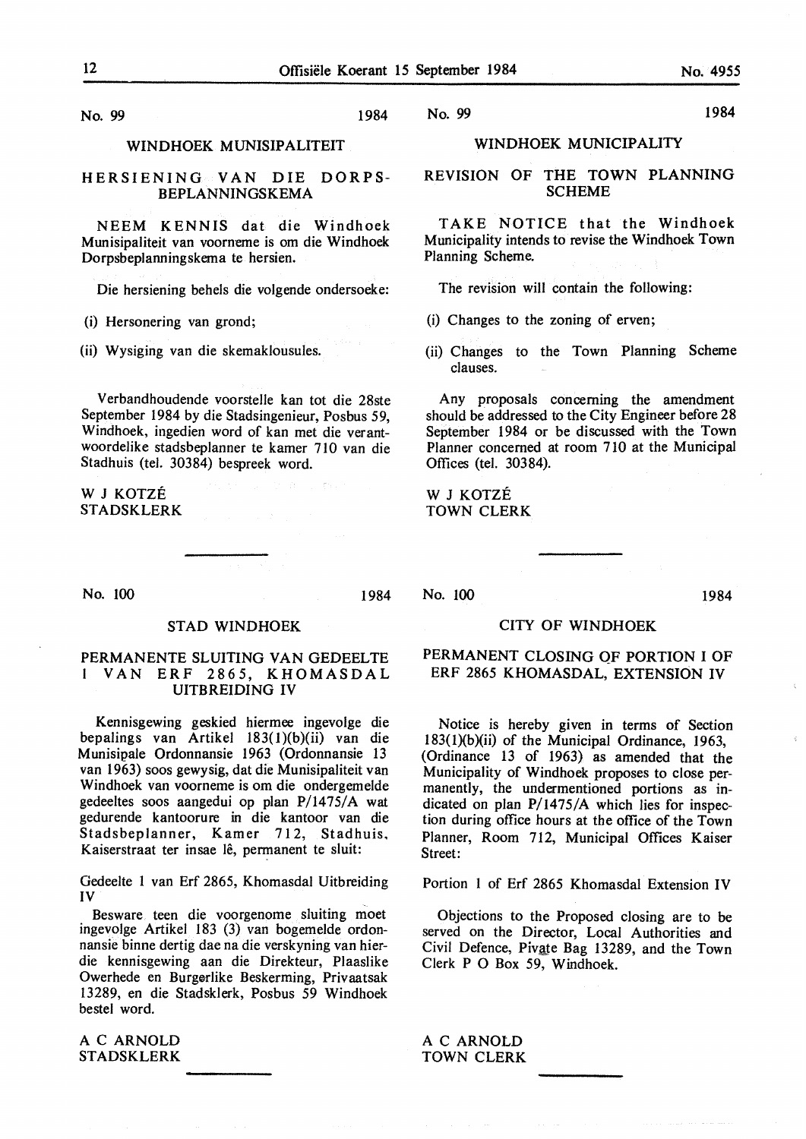No. 99 1984

#### **WINDHOEK MUNISIPALITEIT**

### **HERSIENING VAN** DIE **DORPS-BEPLANNINGSKEMA**

**NEEM KENNIS** dat die Windhoek Munisipaliteit van voorneme is om die Windhoek Dorpsbeplanningskema te hersien.

Die hersiening behels die volgende ondersoeke:

(i) Hersonering van grond;

(ii) Wysiging van die skemaklousules.

Verbandhoudende voorstelle kan tot die 28ste September 1984 by die Stadsingenieur, Posbus 59, Windhoek, ingedien word of kan met die verantwoordelike stadsbeplanner te kamer 710 van die Stadhuis (tel. 30384) bespreek word.

W J KOTZE STADSKLERK

No. 100 1984

#### STAD WINDHOEK

## PERMANENTE SLUITING VAN GEDEELTE l VAN ERF 2865, KHOMASDAL UITBREIDING IV

Kennisgewing geskied hiermee ingevolge die bepalings van Artikel 183(1)(b)(ii) van die M unisipale Ordonnansie 1963 (Ordonnansie 13 van 1963) soos gewysig, dat die Munisipaliteit van Windhoek van voorneme is om die ondergemelde gedeeltes soos aangedui op plan P/1475/A wat gedurende kantoorure in die kantoor van die Stadsbeplanner, Kamer 712, Stadhuis. Kaiserstraat ter insae lê, permanent te sluit:

Gedeelte 1 van Erf 2865, Khornasdal Uitbreiding IV

Besware teen die voorgenome sluiting moet ingevolge Artikel 183 (3) van bogemelde ordonnansie binne dertig dae na die verskyning van hierdie kennisgewing aan die Direkteur, Plaaslike Owerhede en Burgerlike Beskerming, Privaatsak 13289, en die Stadsklerk, Posbus *59* Windhoek bestel word.

AC ARNOLD STADSKLERK

## WINDHOEK MUNICIPALITY

### REVISION OF THE TOWN PLANNING **SCHEME**

TAKE NOTICE that the Windhoek Municipality intends to revise the Windhoek Town Planning Scheme.

The revision will contain the following:

- (i) Changes to the zoning of erven;
- (ii) Changes to the Town Planning Scheme clauses.

Any proposals concerning the amendment should be addressed to the City Engineer before 28 September 1984 or be discussed with the Town Planner concerned at room 710 at the Municipal Offices (tel. 30384).

W J KOTZE TOWN CLERK

No. 100 1984

### CITY OF **WINDHOEK**

## **PERMANENT CLOSING** QF **PORTION** I OF ERF 2865 **KHOMASDAL, EXTENSION IV**

Notice is hereby given in terms of Section 183(l)(b)(ii) of the Municipal Ordinance, 1963, (Ordinance 13 of 1963) as amended that the Municipality of Windhoek proposes to close permanently, the undermentioned portions as indicated on plan P/1475/A which lies for inspection during office hours at the office of the Town Planner, Room 712, Municipal Offices Kaiser Street:

Portion 1 of Erf 2865 Khomasdal Extension IV

Objections to the Proposed closing are to be served on the Director, Local Authorities and Civil Defence, Pivate Bag 13289, and the Town Clerk P O Box 59, Windhoek.

AC ARNOLD TOWN CLERK

No. 99 1984